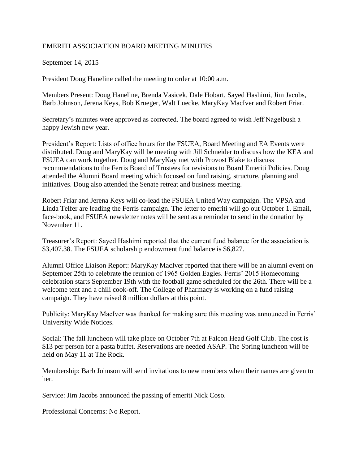## EMERITI ASSOCIATION BOARD MEETING MINUTES

## September 14, 2015

President Doug Haneline called the meeting to order at 10:00 a.m.

Members Present: Doug Haneline, Brenda Vasicek, Dale Hobart, Sayed Hashimi, Jim Jacobs, Barb Johnson, Jerena Keys, Bob Krueger, Walt Luecke, MaryKay MacIver and Robert Friar.

Secretary's minutes were approved as corrected. The board agreed to wish Jeff Nagelbush a happy Jewish new year.

President's Report: Lists of office hours for the FSUEA, Board Meeting and EA Events were distributed. Doug and MaryKay will be meeting with Jill Schneider to discuss how the KEA and FSUEA can work together. Doug and MaryKay met with Provost Blake to discuss recommendations to the Ferris Board of Trustees for revisions to Board Emeriti Policies. Doug attended the Alumni Board meeting which focused on fund raising, structure, planning and initiatives. Doug also attended the Senate retreat and business meeting.

Robert Friar and Jerena Keys will co-lead the FSUEA United Way campaign. The VPSA and Linda Telfer are leading the Ferris campaign. The letter to emeriti will go out October 1. Email, face-book, and FSUEA newsletter notes will be sent as a reminder to send in the donation by November 11.

Treasurer's Report: Sayed Hashimi reported that the current fund balance for the association is \$3,407.38. The FSUEA scholarship endowment fund balance is \$6,827.

Alumni Office Liaison Report: MaryKay MacIver reported that there will be an alumni event on September 25th to celebrate the reunion of 1965 Golden Eagles. Ferris' 2015 Homecoming celebration starts September 19th with the football game scheduled for the 26th. There will be a welcome tent and a chili cook-off. The College of Pharmacy is working on a fund raising campaign. They have raised 8 million dollars at this point.

Publicity: MaryKay MacIver was thanked for making sure this meeting was announced in Ferris' University Wide Notices.

Social: The fall luncheon will take place on October 7th at Falcon Head Golf Club. The cost is \$13 per person for a pasta buffet. Reservations are needed ASAP. The Spring luncheon will be held on May 11 at The Rock.

Membership: Barb Johnson will send invitations to new members when their names are given to her.

Service: Jim Jacobs announced the passing of emeriti Nick Coso.

Professional Concerns: No Report.